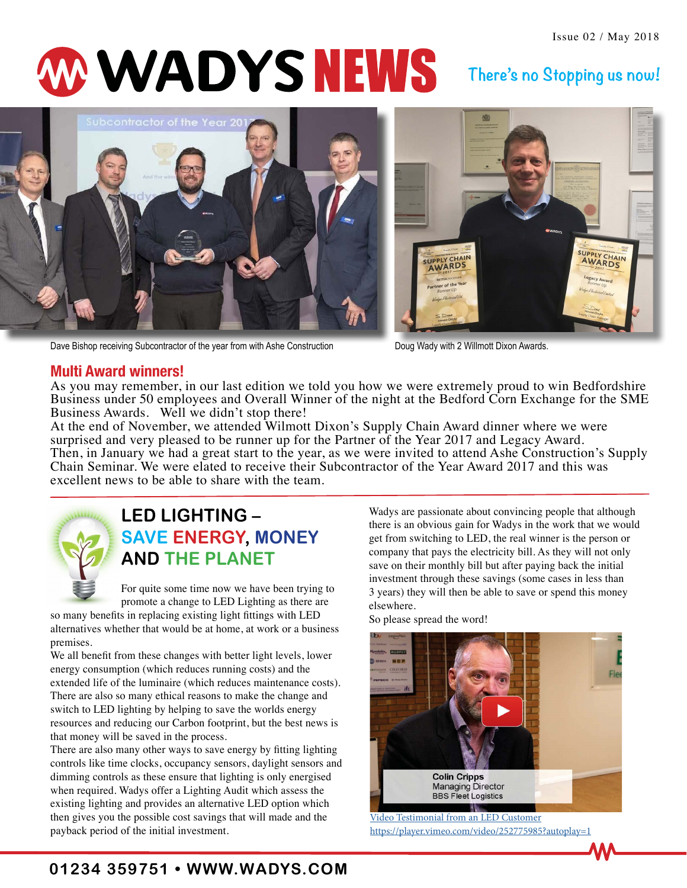# W WADYS NEWS

# **There's no Stopping us now!**



Dave Bishop receiving Subcontractor of the year from with Ashe Construction Doug Wady with 2 Willmott Dixon Awards.



### **Multi Award winners!**

As you may remember, in our last edition we told you how we were extremely proud to win Bedfordshire Business under 50 employees and Overall Winner of the night at the Bedford Corn Exchange for the SME Business Awards. Well we didn't stop there!

At the end of November, we attended Wilmott Dixon's Supply Chain Award dinner where we were surprised and very pleased to be runner up for the Partner of the Year 2017 and Legacy Award. Then, in January we had a great start to the year, as we were invited to attend Ashe Construction's Supply Chain Seminar. We were elated to receive their Subcontractor of the Year Award 2017 and this was excellent news to be able to share with the team.



## **LED LIGHTING – SAVE ENERGY, MONEY AND THE PLANET**

For quite some time now we have been trying to promote a change to LED Lighting as there are

so many benefits in replacing existing light fittings with LED alternatives whether that would be at home, at work or a business premises.

We all benefit from these changes with better light levels, lower energy consumption (which reduces running costs) and the extended life of the luminaire (which reduces maintenance costs). There are also so many ethical reasons to make the change and switch to LED lighting by helping to save the worlds energy resources and reducing our Carbon footprint, but the best news is that money will be saved in the process.

There are also many other ways to save energy by fitting lighting controls like time clocks, occupancy sensors, daylight sensors and dimming controls as these ensure that lighting is only energised when required. Wadys offer a Lighting Audit which assess the existing lighting and provides an alternative LED option which then gives you the possible cost savings that will made and the payback period of the initial investment.

Wadys are passionate about convincing people that although there is an obvious gain for Wadys in the work that we would get from switching to LED, the real winner is the person or company that pays the electricity bill. As they will not only save on their monthly bill but after paying back the initial investment through these savings (some cases in less than 3 years) they will then be able to save or spend this money elsewhere.

So please spread the word!

<span id="page-0-0"></span>

[Video Testimonial from an LED Customer](#page-0-0) <https://player.vimeo.com/video/252775985?autoplay=1>